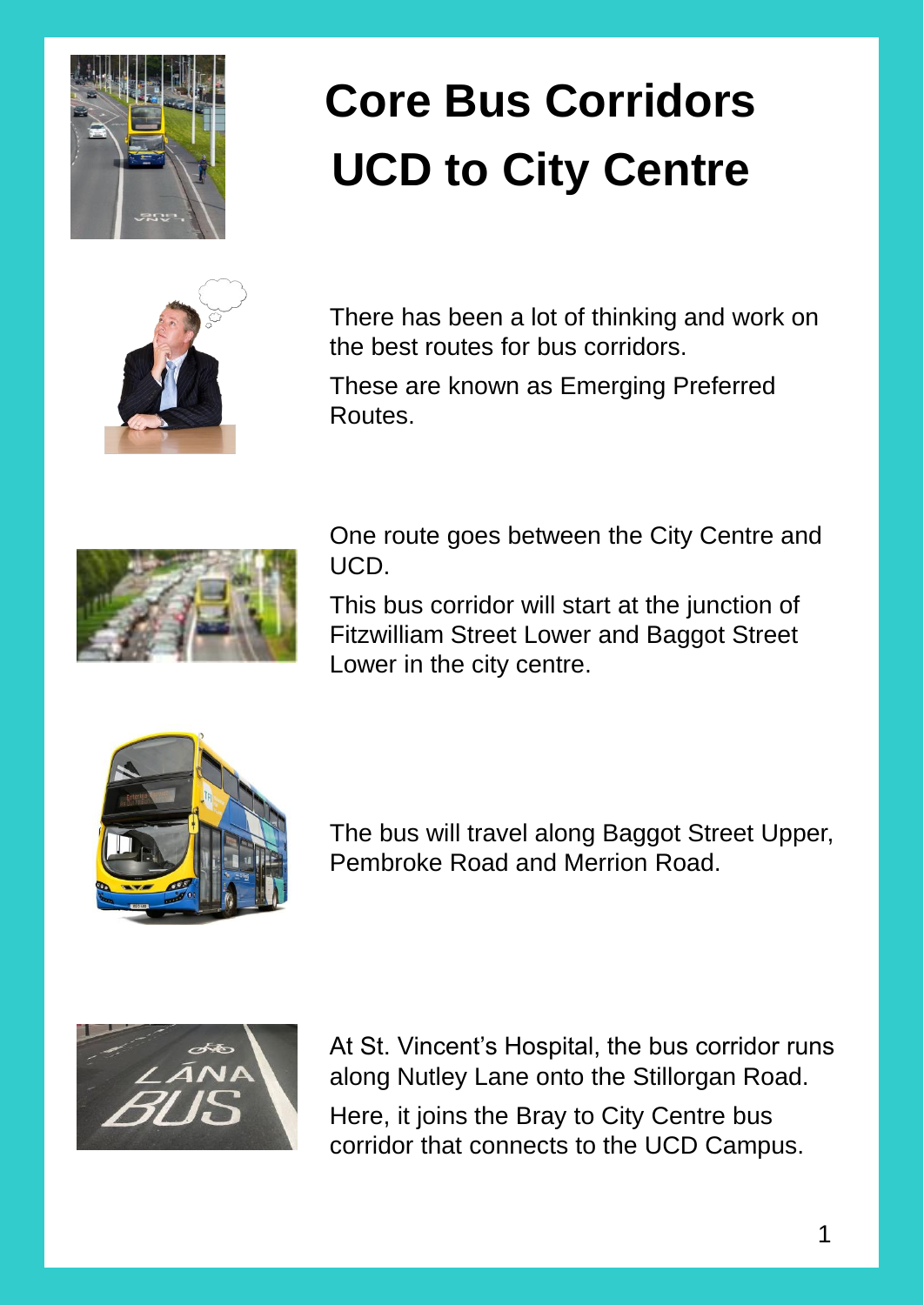

## **Core Bus Corridors UCD to City Centre**



There has been a lot of thinking and work on the best routes for bus corridors.

These are known as Emerging Preferred Routes.



One route goes between the City Centre and UCD.

This bus corridor will start at the junction of Fitzwilliam Street Lower and Baggot Street Lower in the city centre.



The bus will travel along Baggot Street Upper, Pembroke Road and Merrion Road.



At St. Vincent's Hospital, the bus corridor runs along Nutley Lane onto the Stillorgan Road. Here, it joins the Bray to City Centre bus corridor that connects to the UCD Campus.